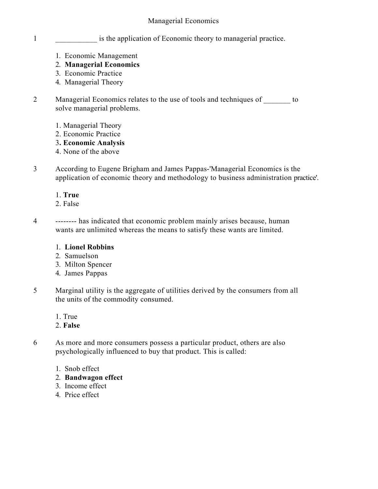- 1 **1** is the application of Economic theory to managerial practice.
	- 1. Economic Management
	- 2. **Managerial Economics**
	- 3. Economic Practice
	- 4. Managerial Theory
- 2 Managerial Economics relates to the use of tools and techniques of to solve managerial problems.
	- 1. Managerial Theory
	- 2. Economic Practice
	- 3**. Economic Analysis**
	- 4. None of the above
- 3 According to Eugene Brigham and James Pappas-'Managerial Economics is the application of economic theory and methodology to business administration practice'.

# 1. **True**

- 2. False
- 4 -------- has indicated that economic problem mainly arises because, human wants are unlimited whereas the means to satisfy these wants are limited.

# 1. **Lionel Robbins**

- 2. Samuelson
- 3. Milton Spencer
- 4. James Pappas
- 5 Marginal utility is the aggregate of utilities derived by the consumers from all the units of the commodity consumed.
	- 1. True
	- 2. **False**
- 6 As more and more consumers possess a particular product, others are also psychologically influenced to buy that product. This is called:
	- 1. Snob effect
	- 2. **Bandwagon effect**
	- 3. Income effect
	- 4. Price effect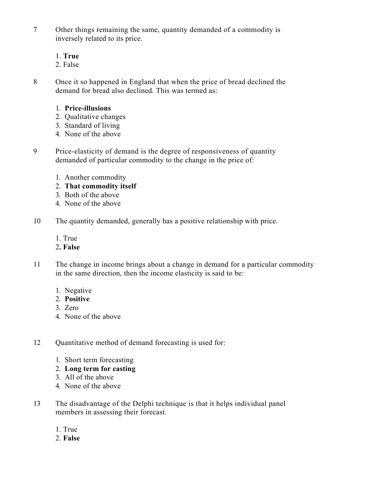7 Other things remaining the same, quantity demanded of a commodity is inversely related to its price.

### 1. **True**

2. False

8 Once it so happened in England that when the price of bread declined the demand for bread also declined. This was termed as:

## 1. **Price-illusions**

- 2. Qualitative changes
- 3. Standard of living
- 4. None of the above
- 9 Price-elasticity of demand is the degree of responsiveness of quantity demanded of particular commodity to the change in the price of:
	- 1. Another commodity
	- 2. **That commodity itself**
	- 3. Both of the above
	- 4. None of the above
- 10 The quantity demanded, generally has a positive relationship with price.
	- 1. True
	- 2**. False**
- 11 The change in income brings about a change in demand for a particular commodity in the same direction, then the income elasticity is said to be:
	- 1. Negative
	- 2. **Positive**
	- 3. Zero
	- 4. None of the above
- 12 Quantitative method of demand forecasting is used for:
	- 1. Short term forecasting
	- 2. **Long term for casting**
	- 3. All of the above
	- 4. None of the above
- 13 The disadvantage of the Delphi technique is that it helps individual panel members in assessing their forecast.
	- 1. True
	- 2. **False**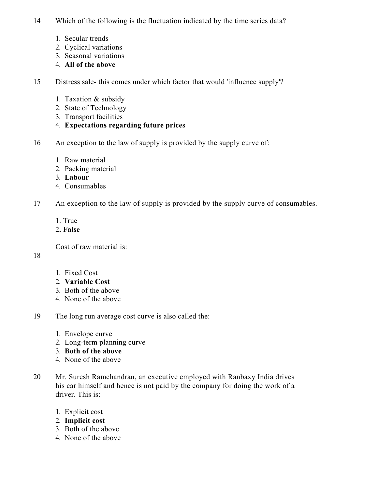- 14 Which of the following is the fluctuation indicated by the time series data?
	- 1. Secular trends
	- 2. Cyclical variations
	- 3. Seasonal variations
	- 4. **All of the above**

15 Distress sale- this comes under which factor that would 'influence supply'?

- 1. Taxation & subsidy
- 2. State of Technology
- 3. Transport facilities
- 4. **Expectations regarding future prices**
- 16 An exception to the law of supply is provided by the supply curve of:
	- 1. Raw material
	- 2. Packing material
	- 3. **Labour**
	- 4. Consumables
- 17 An exception to the law of supply is provided by the supply curve of consumables.
	- 1. True
	- 2**. False**

Cost of raw material is:

#### 18

- 1. Fixed Cost
- 2. **Variable Cost**
- 3. Both of the above
- 4. None of the above
- 19 The long run average cost curve is also called the:
	- 1. Envelope curve
	- 2. Long-term planning curve
	- 3. **Both of the above**
	- 4. None of the above
- 20 Mr. Suresh Ramchandran, an executive employed with Ranbaxy India drives his car himself and hence is not paid by the company for doing the work of a driver. This is:
	- 1. Explicit cost
	- 2. **Implicit cost**
	- 3. Both of the above
	- 4. None of the above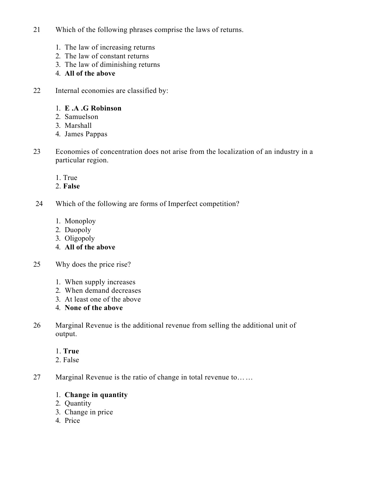- 21 Which of the following phrases comprise the laws of returns.
	- 1. The law of increasing returns
	- 2. The law of constant returns
	- 3. The law of diminishing returns
	- 4. **All of the above**
- 22 Internal economies are classified by:

### 1. **E .A .G Robinson**

- 2. Samuelson
- 3. Marshall
- 4. James Pappas
- 23 Economies of concentration does not arise from the localization of an industry in a particular region.
	- 1. True
	- 2. **False**
- 24 Which of the following are forms of Imperfect competition?
	- 1. Monoploy
	- 2. Duopoly
	- 3. Oligopoly
	- 4. **All of the above**
- 25 Why does the price rise?
	- 1. When supply increases
	- 2. When demand decreases
	- 3. At least one of the above
	- 4. **None of the above**
- 26 Marginal Revenue is the additional revenue from selling the additional unit of output.

#### 1. **True**

- 2. False
- 27 Marginal Revenue is the ratio of change in total revenue to……

## 1. **Change in quantity**

- 2. Quantity
- 3. Change in price
- 4. Price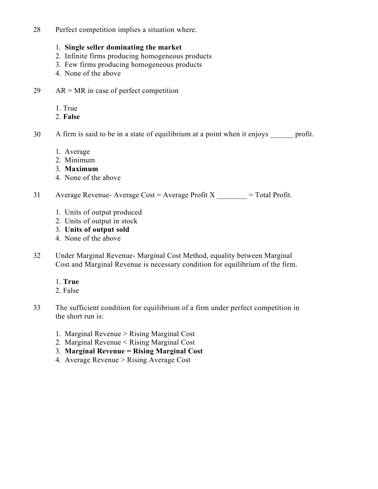28 Perfect competition implies a situation where.

### 1. **Single seller dominating the market**

- 2. Infinite firms producing homogeneous products
- 3. Few firms producing homogeneous products
- 4. None of the above
- 29  $AR = MR$  in case of perfect competition
	- 1. True
	- 2. **False**
- 30 A firm is said to be in a state of equilibrium at a point when it enjoys profit.
	- 1. Average
	- 2. Minimum
	- 3. **Maximum**
	- 4. None of the above

31 Average Revenue- Average Cost = Average Profit  $X \sim$  = Total Profit.

- 1. Units of output produced
- 2. Units of output in stock
- 3. **Units of output sold**
- 4. None of the above
- 32 Under Marginal Revenue- Marginal Cost Method, equality between Marginal Cost and Marginal Revenue is necessary condition for equilibrium of the firm.
	- 1. **True**
	- 2. False
- 33 The sufficient condition for equilibrium of a firm under perfect competition in the short run is:
	- 1. Marginal Revenue > Rising Marginal Cost
	- 2. Marginal Revenue < Rising Marginal Cost
	- 3. **Marginal Revenue = Rising Marginal Cost**
	- 4. Average Revenue > Rising Average Cost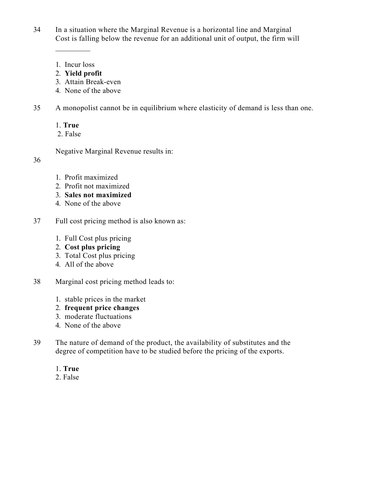34 In a situation where the Marginal Revenue is a horizontal line and Marginal Cost is falling below the revenue for an additional unit of output, the firm will

1. Incur loss

 $\mathcal{L}_\text{max}$ 

- 2. **Yield profit**
- 3. Attain Break-even
- 4. None of the above
- 35 A monopolist cannot be in equilibrium where elasticity of demand is less than one.
	- 1. **True**
	- 2. False

Negative Marginal Revenue results in:

#### 36

- 1. Profit maximized
- 2. Profit not maximized
- 3. **Sales not maximized**
- 4. None of the above
- 37 Full cost pricing method is also known as:
	- 1. Full Cost plus pricing
	- 2. **Cost plus pricing**
	- 3. Total Cost plus pricing
	- 4. All of the above
- 38 Marginal cost pricing method leads to:
	- 1. stable prices in the market
	- 2. **frequent price changes**
	- 3. moderate fluctuations
	- 4. None of the above
- 39 The nature of demand of the product, the availability of substitutes and the degree of competition have to be studied before the pricing of the exports.

# 1. **True**

2. False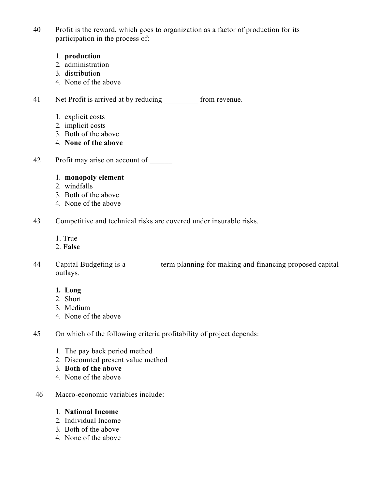40 Profit is the reward, which goes to organization as a factor of production for its participation in the process of:

#### 1. **production**

- 2. administration
- 3. distribution
- 4. None of the above

41 Net Profit is arrived at by reducing \_\_\_\_\_\_\_\_\_ from revenue.

- 1. explicit costs
- 2. implicit costs
- 3. Both of the above
- 4. **None of the above**
- 42 Profit may arise on account of
	- 1. **monopoly element**
	- 2. windfalls
	- 3. Both of the above
	- 4. None of the above
- 43 Competitive and technical risks are covered under insurable risks.
	- 1. True
	- 2. **False**
- 44 Capital Budgeting is a \_\_\_\_\_\_\_\_ term planning for making and financing proposed capital outlays.

#### **1. Long**

- 2. Short
- 3. Medium
- 4. None of the above
- 45 On which of the following criteria profitability of project depends:
	- 1. The pay back period method
	- 2. Discounted present value method
	- 3. **Both of the above**
	- 4. None of the above
- 46 Macro-economic variables include:
	- 1. **National Income**
	- 2. Individual Income
	- 3. Both of the above
	- 4. None of the above